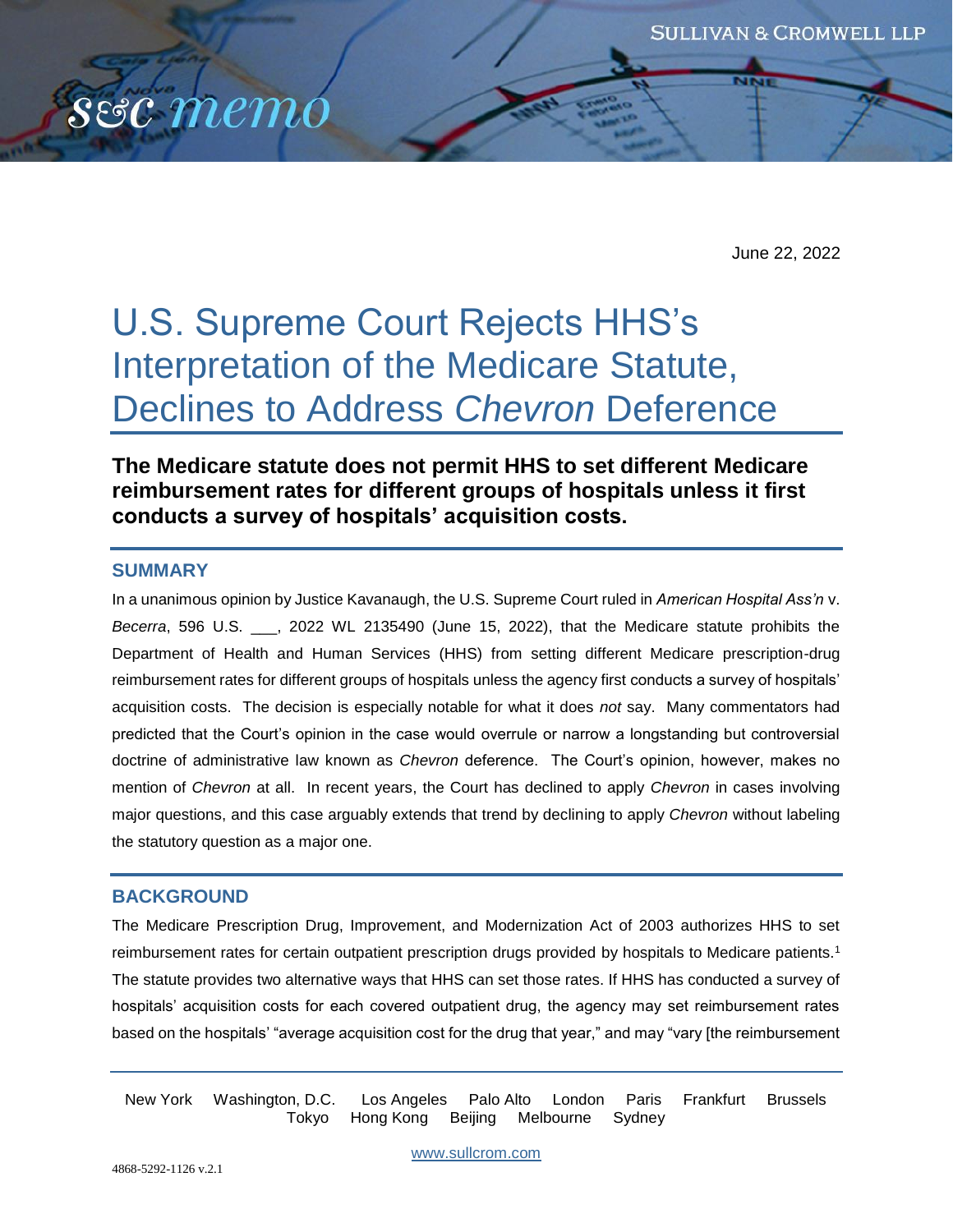

June 22, 2022

# U.S. Supreme Court Rejects HHS's Interpretation of the Medicare Statute, Declines to Address *Chevron* Deference

**The Medicare statute does not permit HHS to set different Medicare reimbursement rates for different groups of hospitals unless it first conducts a survey of hospitals' acquisition costs.**

## **SUMMARY**

In a unanimous opinion by Justice Kavanaugh, the U.S. Supreme Court ruled in *American Hospital Ass'n* v. *Becerra*, 596 U.S. \_\_\_, 2022 WL 2135490 (June 15, 2022), that the Medicare statute prohibits the Department of Health and Human Services (HHS) from setting different Medicare prescription-drug reimbursement rates for different groups of hospitals unless the agency first conducts a survey of hospitals' acquisition costs. The decision is especially notable for what it does *not* say. Many commentators had predicted that the Court's opinion in the case would overrule or narrow a longstanding but controversial doctrine of administrative law known as *Chevron* deference. The Court's opinion, however, makes no mention of *Chevron* at all. In recent years, the Court has declined to apply *Chevron* in cases involving major questions, and this case arguably extends that trend by declining to apply *Chevron* without labeling the statutory question as a major one.

## **BACKGROUND**

The Medicare Prescription Drug, Improvement, and Modernization Act of 2003 authorizes HHS to set reimbursement rates for certain outpatient prescription drugs provided by hospitals to Medicare patients.<sup>1</sup> The statute provides two alternative ways that HHS can set those rates. If HHS has conducted a survey of hospitals' acquisition costs for each covered outpatient drug, the agency may set reimbursement rates based on the hospitals' "average acquisition cost for the drug that year," and may "vary [the reimbursement

New York Washington, D.C. Los Angeles Palo Alto London Paris Frankfurt Brussels Tokyo Hong Kong Beijing Melbourne Sydney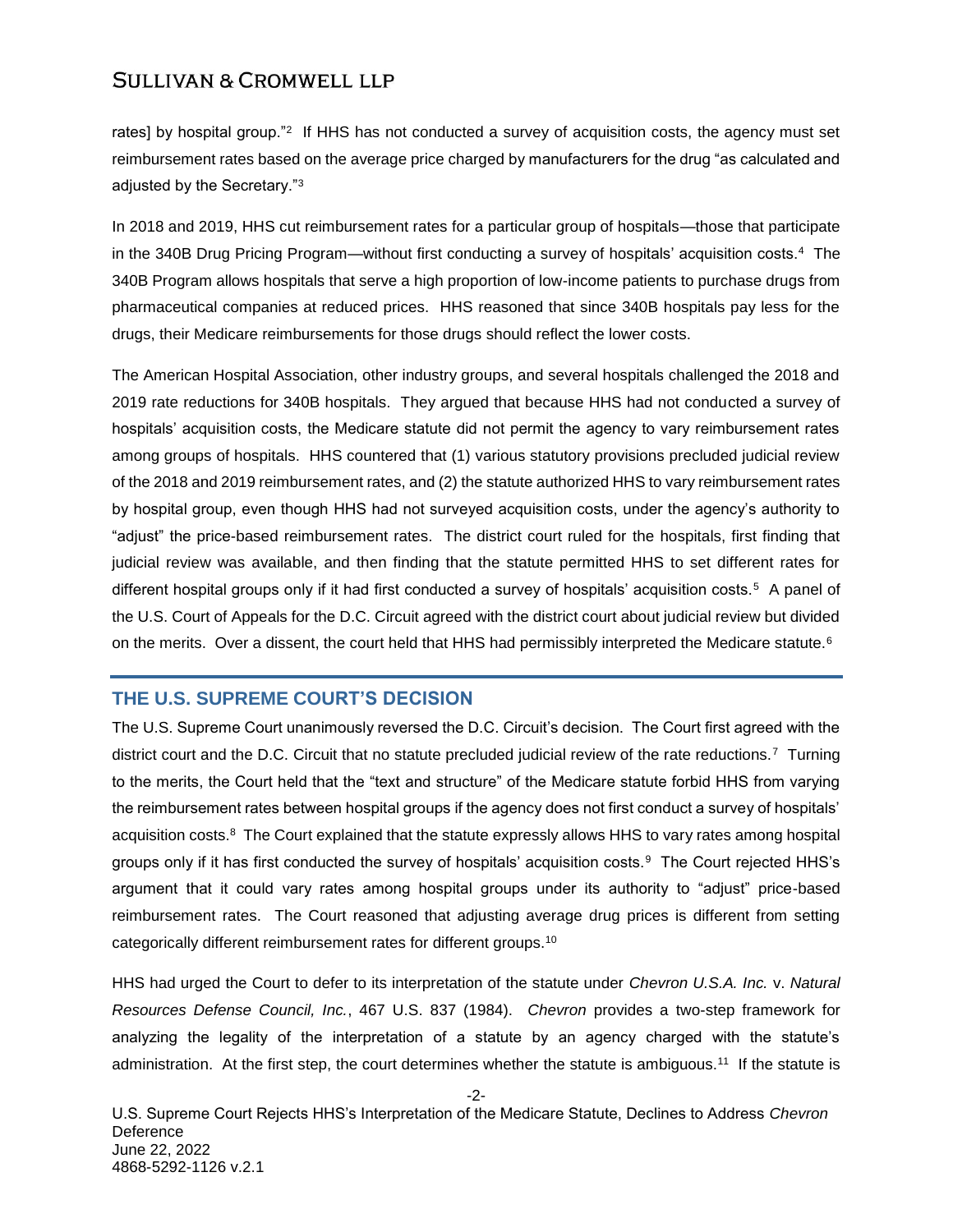rates] by hospital group."<sup>2</sup> If HHS has not conducted a survey of acquisition costs, the agency must set reimbursement rates based on the average price charged by manufacturers for the drug "as calculated and adjusted by the Secretary."<sup>3</sup>

In 2018 and 2019, HHS cut reimbursement rates for a particular group of hospitals—those that participate in the 340B Drug Pricing Program—without first conducting a survey of hospitals' acquisition costs.<sup>4</sup> The 340B Program allows hospitals that serve a high proportion of low-income patients to purchase drugs from pharmaceutical companies at reduced prices. HHS reasoned that since 340B hospitals pay less for the drugs, their Medicare reimbursements for those drugs should reflect the lower costs.

The American Hospital Association, other industry groups, and several hospitals challenged the 2018 and 2019 rate reductions for 340B hospitals. They argued that because HHS had not conducted a survey of hospitals' acquisition costs, the Medicare statute did not permit the agency to vary reimbursement rates among groups of hospitals. HHS countered that (1) various statutory provisions precluded judicial review of the 2018 and 2019 reimbursement rates, and (2) the statute authorized HHS to vary reimbursement rates by hospital group, even though HHS had not surveyed acquisition costs, under the agency's authority to "adjust" the price-based reimbursement rates. The district court ruled for the hospitals, first finding that judicial review was available, and then finding that the statute permitted HHS to set different rates for different hospital groups only if it had first conducted a survey of hospitals' acquisition costs.<sup>5</sup> A panel of the U.S. Court of Appeals for the D.C. Circuit agreed with the district court about judicial review but divided on the merits. Over a dissent, the court held that HHS had permissibly interpreted the Medicare statute.<sup>6</sup>

## **THE U.S. SUPREME COURT'S DECISION**

The U.S. Supreme Court unanimously reversed the D.C. Circuit's decision. The Court first agreed with the district court and the D.C. Circuit that no statute precluded judicial review of the rate reductions.<sup>7</sup> Turning to the merits, the Court held that the "text and structure" of the Medicare statute forbid HHS from varying the reimbursement rates between hospital groups if the agency does not first conduct a survey of hospitals' acquisition costs.<sup>8</sup> The Court explained that the statute expressly allows HHS to vary rates among hospital groups only if it has first conducted the survey of hospitals' acquisition costs. $^9$  The Court rejected HHS's argument that it could vary rates among hospital groups under its authority to "adjust" price-based reimbursement rates. The Court reasoned that adjusting average drug prices is different from setting categorically different reimbursement rates for different groups.<sup>10</sup>

HHS had urged the Court to defer to its interpretation of the statute under *Chevron U.S.A. Inc.* v. *Natural Resources Defense Council, Inc.*, 467 U.S. 837 (1984). *Chevron* provides a two-step framework for analyzing the legality of the interpretation of a statute by an agency charged with the statute's administration. At the first step, the court determines whether the statute is ambiguous.<sup>11</sup> If the statute is

-2- U.S. Supreme Court Rejects HHS's Interpretation of the Medicare Statute, Declines to Address *Chevron* **Deference** June 22, 2022 4868-5292-1126 v.2.1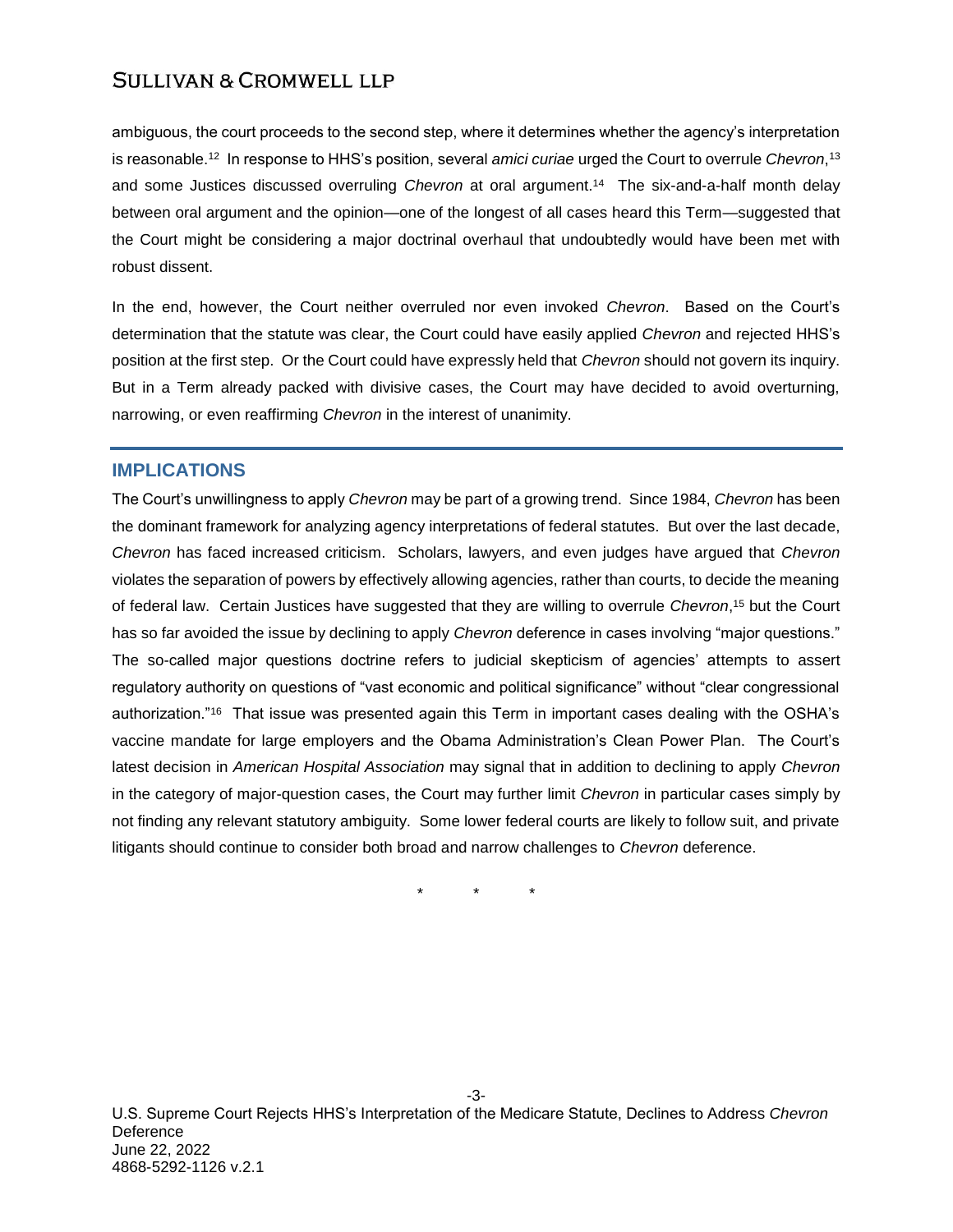ambiguous, the court proceeds to the second step, where it determines whether the agency's interpretation is reasonable.<sup>12</sup> In response to HHS's position, several *amici curiae* urged the Court to overrule *Chevron*, 13 and some Justices discussed overruling *Chevron* at oral argument.<sup>14</sup> The six-and-a-half month delay between oral argument and the opinion—one of the longest of all cases heard this Term—suggested that the Court might be considering a major doctrinal overhaul that undoubtedly would have been met with robust dissent.

In the end, however, the Court neither overruled nor even invoked *Chevron*. Based on the Court's determination that the statute was clear, the Court could have easily applied *Chevron* and rejected HHS's position at the first step. Or the Court could have expressly held that *Chevron* should not govern its inquiry. But in a Term already packed with divisive cases, the Court may have decided to avoid overturning, narrowing, or even reaffirming *Chevron* in the interest of unanimity.

# **IMPLICATIONS**

The Court's unwillingness to apply *Chevron* may be part of a growing trend. Since 1984, *Chevron* has been the dominant framework for analyzing agency interpretations of federal statutes. But over the last decade, *Chevron* has faced increased criticism. Scholars, lawyers, and even judges have argued that *Chevron* violates the separation of powers by effectively allowing agencies, rather than courts, to decide the meaning of federal law. Certain Justices have suggested that they are willing to overrule *Chevron*, <sup>15</sup> but the Court has so far avoided the issue by declining to apply *Chevron* deference in cases involving "major questions." The so-called major questions doctrine refers to judicial skepticism of agencies' attempts to assert regulatory authority on questions of "vast economic and political significance" without "clear congressional authorization."<sup>16</sup> That issue was presented again this Term in important cases dealing with the OSHA's vaccine mandate for large employers and the Obama Administration's Clean Power Plan. The Court's latest decision in *American Hospital Association* may signal that in addition to declining to apply *Chevron* in the category of major-question cases, the Court may further limit *Chevron* in particular cases simply by not finding any relevant statutory ambiguity. Some lower federal courts are likely to follow suit, and private litigants should continue to consider both broad and narrow challenges to *Chevron* deference.

\* \* \*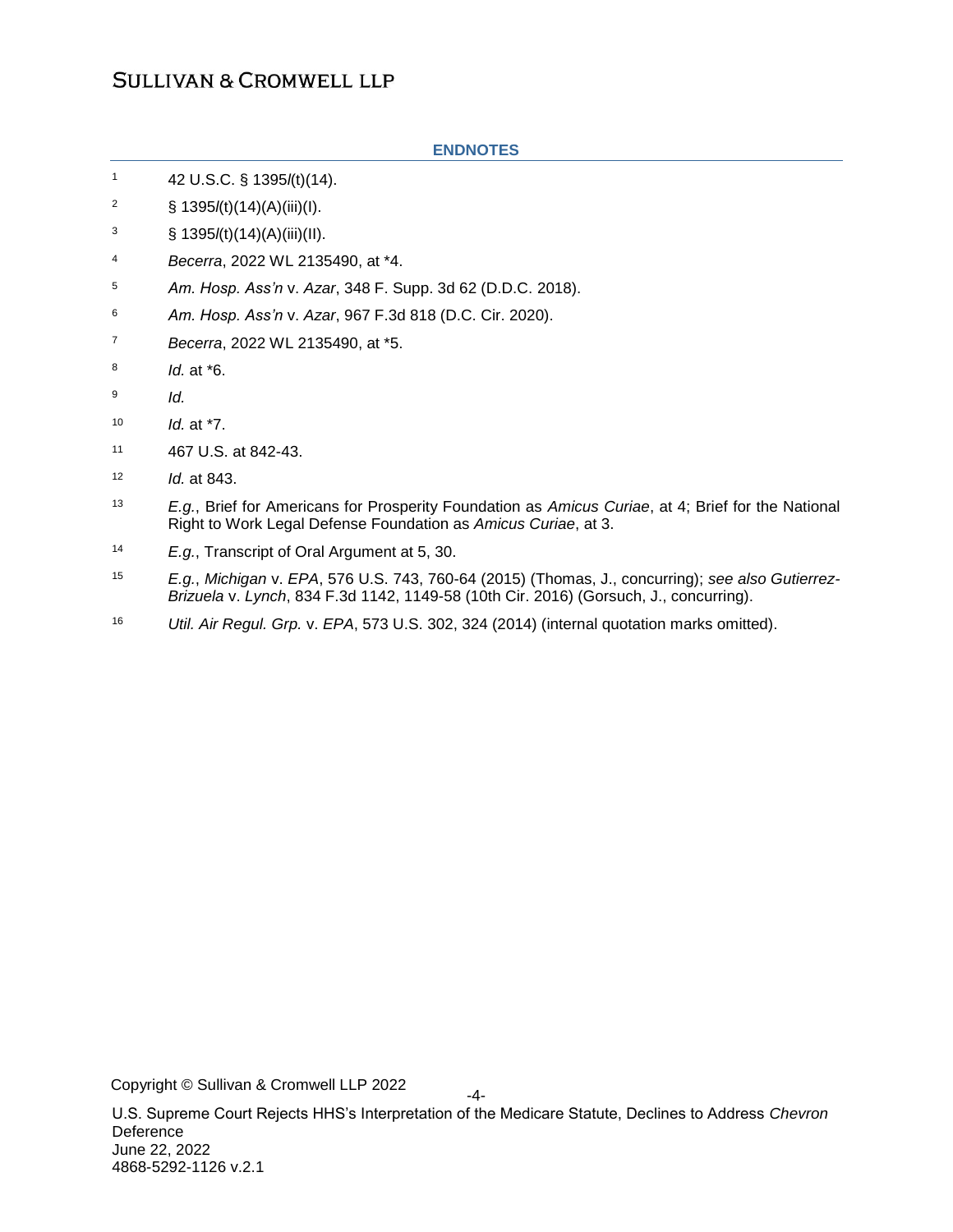#### **ENDNOTES**

- <sup>1</sup> 42 U.S.C. § 1395*l*(t)(14).
- <sup>2</sup> § 1395*l*(t)(14)(A)(iii)(I).
- <sup>3</sup> § 1395 $I(t)(14)(A)(iii)(II)$ .
- <sup>4</sup> *Becerra*, 2022 WL 2135490, at \*4.
- <sup>5</sup> *Am. Hosp. Ass'n* v. *Azar*, 348 F. Supp. 3d 62 (D.D.C. 2018).
- <sup>6</sup> *Am. Hosp. Ass'n* v. *Azar*, 967 F.3d 818 (D.C. Cir. 2020).
- <sup>7</sup> *Becerra*, 2022 WL 2135490, at \*5.
- 8 *Id.* at \*6.
- 9 *Id.*
- <sup>10</sup> *Id.* at \*7.
- <sup>11</sup> 467 U.S. at 842-43.
- <sup>12</sup> *Id.* at 843.
- <sup>13</sup> *E.g.*, Brief for Americans for Prosperity Foundation as *Amicus Curiae*, at 4; Brief for the National Right to Work Legal Defense Foundation as *Amicus Curiae*, at 3.
- <sup>14</sup> *E.g.*, Transcript of Oral Argument at 5, 30.
- <sup>15</sup> *E.g.*, *Michigan* v. *EPA*, 576 U.S. 743, 760-64 (2015) (Thomas, J., concurring); *see also Gutierrez-Brizuela* v. *Lynch*, 834 F.3d 1142, 1149-58 (10th Cir. 2016) (Gorsuch, J., concurring).
- <sup>16</sup> *Util. Air Regul. Grp.* v. *EPA*, 573 U.S. 302, 324 (2014) (internal quotation marks omitted).

Copyright © Sullivan & Cromwell LLP 2022

U.S. Supreme Court Rejects HHS's Interpretation of the Medicare Statute, Declines to Address *Chevron* Deference June 22, 2022 4868-5292-1126 v.2.1